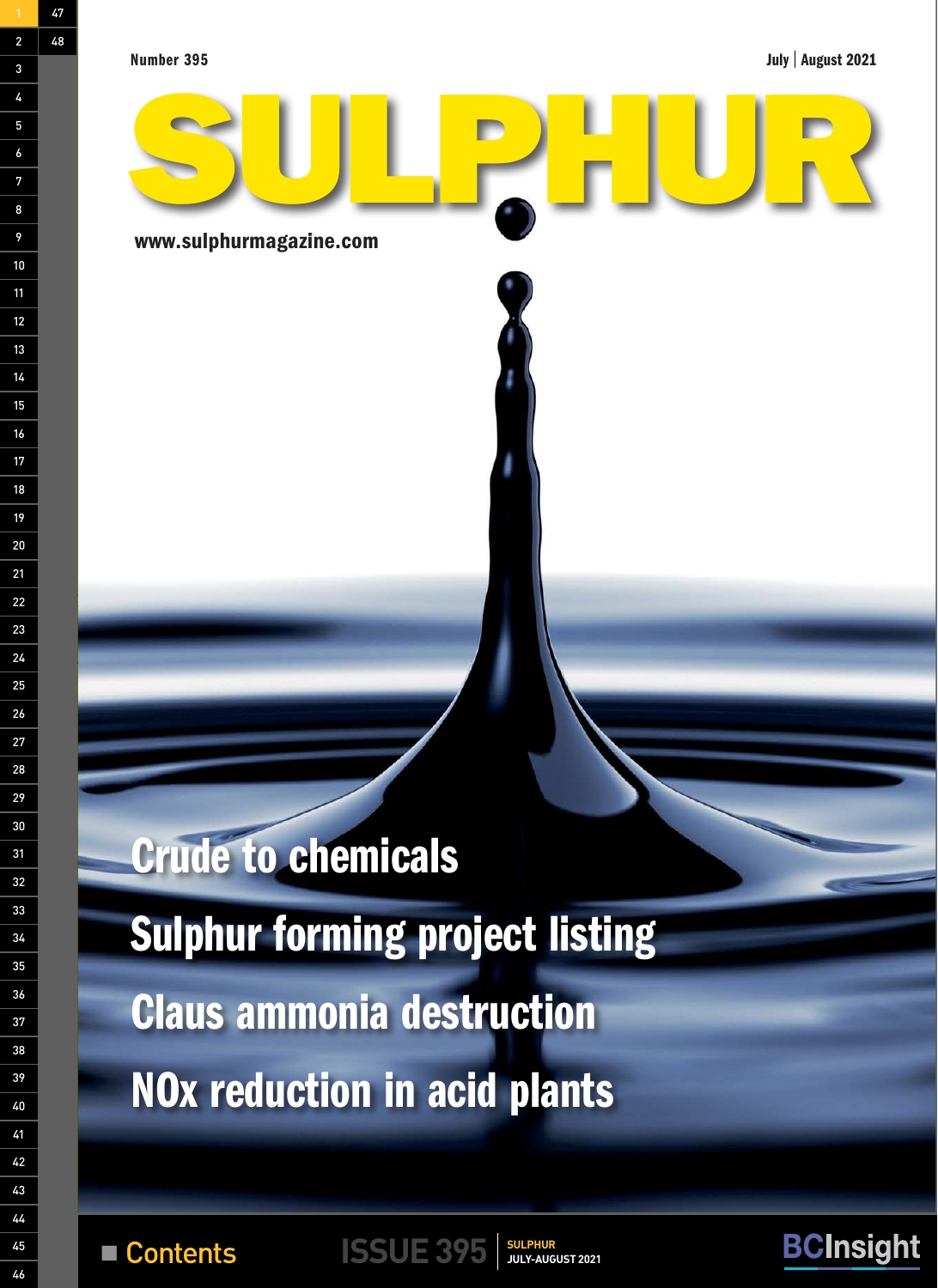Number 395

 $\mathcal{A}_\mathrm{u}$  and  $\mathcal{A}_\mathrm{u}$  with  $\mathcal{A}_\mathrm{u}$  with  $\mathcal{A}_\mathrm{u}$  with  $\mathcal{A}_\mathrm{u}$ 

July | August 2021



**Example 1995 Contents ISSUE 395 SULPHUR** 

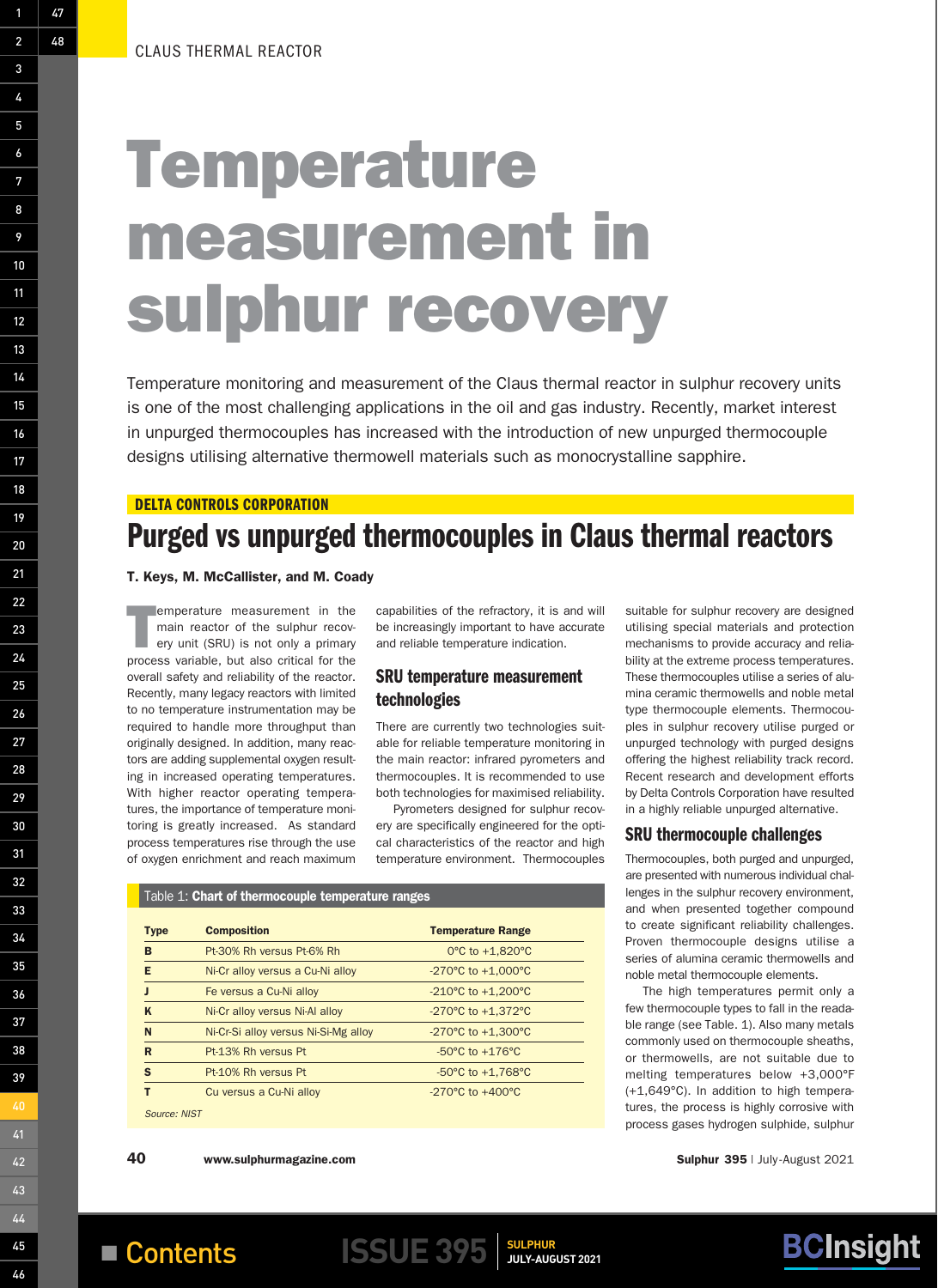# Temperature measurement in sulphur recovery

Temperature monitoring and measurement of the Claus thermal reactor in sulphur recovery units is one of the most challenging applications in the oil and gas industry. Recently, market interest in unpurged thermocouples has increased with the introduction of new unpurged thermocouple designs utilising alternative thermowell materials such as monocrystalline sapphire.

#### DELTA CONTROLS CORPORATION

# Purged vs unpurged thermocouples in Claus thermal reactors

#### T. Keys, M. McCallister, and M. Coady

T emperature measurement in the main reactor of the sulphur recovery unit (SRU) is not only a primary process variable, but also critical for the overall safety and reliability of the reactor. Recently, many legacy reactors with limited to no temperature instrumentation may be required to handle more throughput than originally designed. In addition, many reactors are adding supplemental oxygen resulting in increased operating temperatures. With higher reactor operating temperatures, the importance of temperature monitoring is greatly increased. As standard process temperatures rise through the use of oxygen enrichment and reach maximum

capabilities of the refractory, it is and will be increasingly important to have accurate and reliable temperature indication.

### SRU temperature measurement technologies

There are currently two technologies suitable for reliable temperature monitoring in the main reactor: infrared pyrometers and thermocouples. It is recommended to use both technologies for maximised reliability.

Pyrometers designed for sulphur recovery are specifically engineered for the optical characteristics of the reactor and high temperature environment. Thermocouples

#### Table 1: Chart of thermocouple temperature ranges

| <b>Type</b>  | <b>Composition</b>                   | <b>Temperature Range</b>               |
|--------------|--------------------------------------|----------------------------------------|
| B            | Pt-30% Rh versus Pt-6% Rh            | 0 $\degree$ C to +1.820 $\degree$ C    |
| Е            | Ni-Cr alloy versus a Cu-Ni alloy     | $-270^{\circ}$ C to $+1,000^{\circ}$ C |
|              | Fe versus a Cu-Ni alloy              | $-210^{\circ}$ C to $+1.200^{\circ}$ C |
| K            | Ni-Cr alloy versus Ni-Al alloy       | $-270^{\circ}$ C to $+1.372^{\circ}$ C |
| N            | Ni-Cr-Si alloy versus Ni-Si-Mg alloy | $-270^{\circ}$ C to $+1,300^{\circ}$ C |
| R            | Pt-13% Rh versus Pt                  | $-50^{\circ}$ C to $+176^{\circ}$ C    |
| $\mathbf{s}$ | Pt-10% Rh versus Pt                  | $-50^{\circ}$ C to $+1.768^{\circ}$ C  |
|              | Cu versus a Cu-Ni alloy              | $-270^{\circ}$ C to $+400^{\circ}$ C   |

*Source: NIST*



#### SRU thermocouple challenges

Thermocouples, both purged and unpurged, are presented with numerous individual challenges in the sulphur recovery environment, and when presented together compound to create significant reliability challenges. Proven thermocouple designs utilise a series of alumina ceramic thermowells and noble metal thermocouple elements.

The high temperatures permit only a few thermocouple types to fall in the readable range (see Table. 1). Also many metals commonly used on thermocouple sheaths, or thermowells, are not suitable due to melting temperatures below +3,000°F (+1,649°C). In addition to high temperatures, the process is highly corrosive with process gases hydrogen sulphide, sulphur

40 www.sulphurmagazine.com **Sulphur 395** | July-August 2021

**BCInsight** 

48

47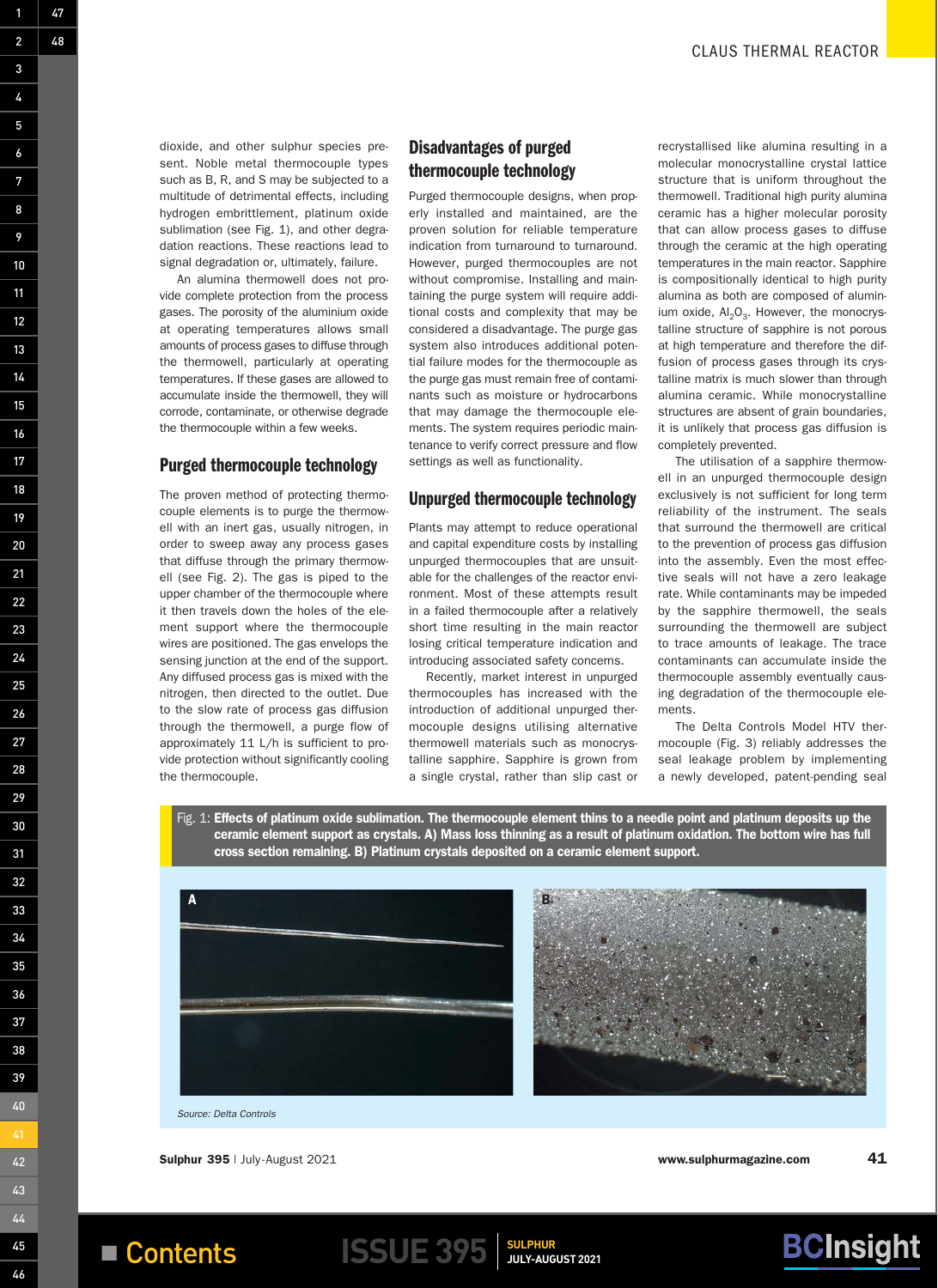dioxide, and other sulphur species present. Noble metal thermocouple types such as B, R, and S may be subjected to a multitude of detrimental effects, including hydrogen embrittlement, platinum oxide sublimation (see Fig. 1), and other degradation reactions. These reactions lead to signal degradation or, ultimately, failure.

1

2

48

47

3

4

5

6

7

8

9

10

11

12

13

14

15

16

17

18

19

20

21

22

23

24

25

26

27

28

29

30

31

32

33

34

35

36

37

38

39

40

42

43

44

45

46

An alumina thermowell does not provide complete protection from the process gases. The porosity of the aluminium oxide at operating temperatures allows small amounts of process gases to diffuse through the thermowell, particularly at operating temperatures. If these gases are allowed to accumulate inside the thermowell, they will corrode, contaminate, or otherwise degrade the thermocouple within a few weeks.

#### Purged thermocouple technology

The proven method of protecting thermocouple elements is to purge the thermowell with an inert gas, usually nitrogen, in order to sweep away any process gases that diffuse through the primary thermowell (see Fig. 2). The gas is piped to the upper chamber of the thermocouple where it then travels down the holes of the element support where the thermocouple wires are positioned. The gas envelops the sensing junction at the end of the support. Any diffused process gas is mixed with the nitrogen, then directed to the outlet. Due to the slow rate of process gas diffusion through the thermowell, a purge flow of approximately 11 L/h is sufficient to provide protection without significantly cooling the thermocouple.

## Disadvantages of purged thermocouple technology

Purged thermocouple designs, when properly installed and maintained, are the proven solution for reliable temperature indication from turnaround to turnaround. However, purged thermocouples are not without compromise. Installing and maintaining the purge system will require additional costs and complexity that may be considered a disadvantage. The purge gas system also introduces additional potential failure modes for the thermocouple as the purge gas must remain free of contaminants such as moisture or hydrocarbons that may damage the thermocouple elements. The system requires periodic maintenance to verify correct pressure and flow settings as well as functionality.

#### Unpurged thermocouple technology

Plants may attempt to reduce operational and capital expenditure costs by installing unpurged thermocouples that are unsuitable for the challenges of the reactor environment. Most of these attempts result in a failed thermocouple after a relatively short time resulting in the main reactor losing critical temperature indication and introducing associated safety concerns.

Recently, market interest in unpurged thermocouples has increased with the introduction of additional unpurged thermocouple designs utilising alternative thermowell materials such as monocrystalline sapphire. Sapphire is grown from a single crystal, rather than slip cast or recrystallised like alumina resulting in a molecular monocrystalline crystal lattice structure that is uniform throughout the thermowell. Traditional high purity alumina ceramic has a higher molecular porosity that can allow process gases to diffuse through the ceramic at the high operating temperatures in the main reactor. Sapphire is compositionally identical to high purity alumina as both are composed of aluminium oxide,  $Al_2O_3$ . However, the monocrystalline structure of sapphire is not porous at high temperature and therefore the diffusion of process gases through its crystalline matrix is much slower than through alumina ceramic. While monocrystalline structures are absent of grain boundaries, it is unlikely that process gas diffusion is completely prevented.

The utilisation of a sapphire thermowell in an unpurged thermocouple design exclusively is not sufficient for long term reliability of the instrument. The seals that surround the thermowell are critical to the prevention of process gas diffusion into the assembly. Even the most effective seals will not have a zero leakage rate. While contaminants may be impeded by the sapphire thermowell, the seals surrounding the thermowell are subject to trace amounts of leakage. The trace contaminants can accumulate inside the thermocouple assembly eventually causing degradation of the thermocouple elements.

The Delta Controls Model HTV thermocouple (Fig. 3) reliably addresses the seal leakage problem by implementing a newly developed, patent-pending seal

Fig. 1: Effects of platinum oxide sublimation. The thermocouple element thins to a needle point and platinum deposits up the ceramic element support as crystals. A) Mass loss thinning as a result of platinum oxidation. The bottom wire has full cross section remaining. B) Platinum crystals deposited on a ceramic element support.



*Source: Delta Controls*

**Example 1995 Contents ISSUE 395 SULPHUR** 

Sulphur 395 | July-August 2021 **41** 

**BCInsight**